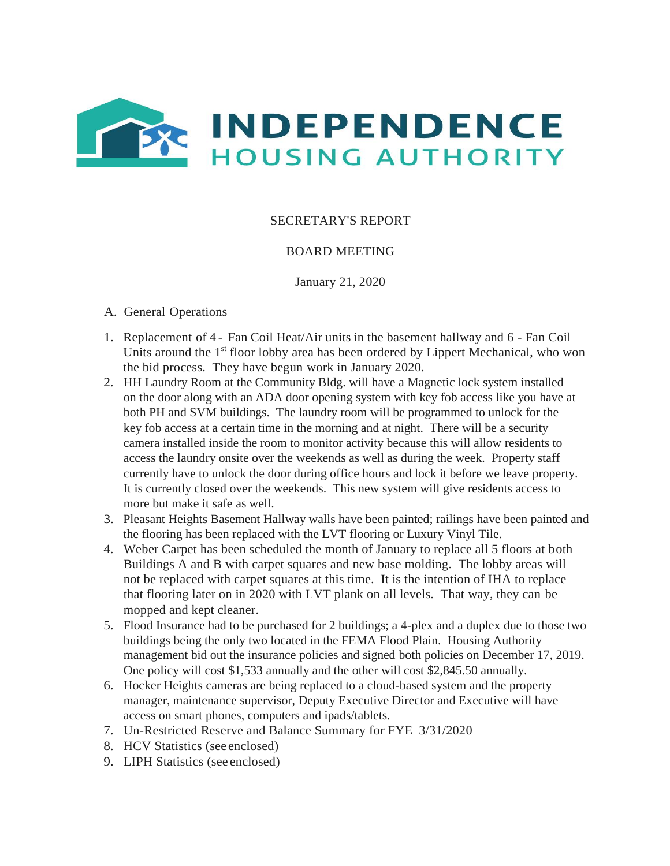

## SECRETARY'S REPORT

## BOARD MEETING

January 21, 2020

- A. General Operations
- 1. Replacement of 4 Fan Coil Heat/Air units in the basement hallway and 6 Fan Coil Units around the 1<sup>st</sup> floor lobby area has been ordered by Lippert Mechanical, who won the bid process. They have begun work in January 2020.
- 2. HH Laundry Room at the Community Bldg. will have a Magnetic lock system installed on the door along with an ADA door opening system with key fob access like you have at both PH and SVM buildings. The laundry room will be programmed to unlock for the key fob access at a certain time in the morning and at night. There will be a security camera installed inside the room to monitor activity because this will allow residents to access the laundry onsite over the weekends as well as during the week. Property staff currently have to unlock the door during office hours and lock it before we leave property. It is currently closed over the weekends. This new system will give residents access to more but make it safe as well.
- 3. Pleasant Heights Basement Hallway walls have been painted; railings have been painted and the flooring has been replaced with the LVT flooring or Luxury Vinyl Tile.
- 4. Weber Carpet has been scheduled the month of January to replace all 5 floors at both Buildings A and B with carpet squares and new base molding. The lobby areas will not be replaced with carpet squares at this time. It is the intention of IHA to replace that flooring later on in 2020 with LVT plank on all levels. That way, they can be mopped and kept cleaner.
- 5. Flood Insurance had to be purchased for 2 buildings; a 4-plex and a duplex due to those two buildings being the only two located in the FEMA Flood Plain. Housing Authority management bid out the insurance policies and signed both policies on December 17, 2019. One policy will cost \$1,533 annually and the other will cost \$2,845.50 annually.
- 6. Hocker Heights cameras are being replaced to a cloud-based system and the property manager, maintenance supervisor, Deputy Executive Director and Executive will have access on smart phones, computers and ipads/tablets.
- 7. Un-Restricted Reserve and Balance Summary for FYE 3/31/2020
- 8. HCV Statistics (see enclosed)
- 9. LIPH Statistics (see enclosed)